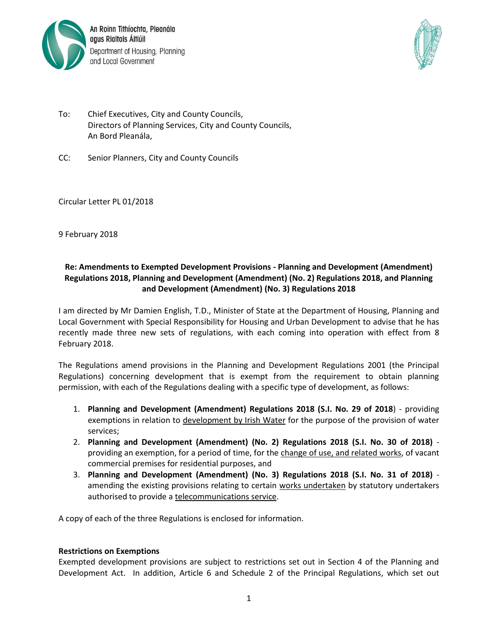

An Roinn Tithíochta, Pleanála agus Rialtais Áitiúil Department of Housing, Planning and Local Government



- To: Chief Executives, City and County Councils, Directors of Planning Services, City and County Councils, An Bord Pleanála,
- CC: Senior Planners, City and County Councils

Circular Letter PL 01/2018

9 February 2018

# **Re: Amendments to Exempted Development Provisions - Planning and Development (Amendment) Regulations 2018, Planning and Development (Amendment) (No. 2) Regulations 2018, and Planning and Development (Amendment) (No. 3) Regulations 2018**

I am directed by Mr Damien English, T.D., Minister of State at the Department of Housing, Planning and Local Government with Special Responsibility for Housing and Urban Development to advise that he has recently made three new sets of regulations, with each coming into operation with effect from 8 February 2018.

The Regulations amend provisions in the Planning and Development Regulations 2001 (the Principal Regulations) concerning development that is exempt from the requirement to obtain planning permission, with each of the Regulations dealing with a specific type of development, as follows:

- 1. **Planning and Development (Amendment) Regulations 2018 (S.I. No. 29 of 2018**) providing exemptions in relation to development by Irish Water for the purpose of the provision of water services;
- 2. **Planning and Development (Amendment) (No. 2) Regulations 2018 (S.I. No. 30 of 2018)** providing an exemption, for a period of time, for the change of use, and related works, of vacant commercial premises for residential purposes, and
- 3. **Planning and Development (Amendment) (No. 3) Regulations 2018 (S.I. No. 31 of 2018)** amending the existing provisions relating to certain works undertaken by statutory undertakers authorised to provide a telecommunications service.

A copy of each of the three Regulations is enclosed for information.

## **Restrictions on Exemptions**

Exempted development provisions are subject to restrictions set out in Section 4 of the Planning and Development Act. In addition, Article 6 and Schedule 2 of the Principal Regulations, which set out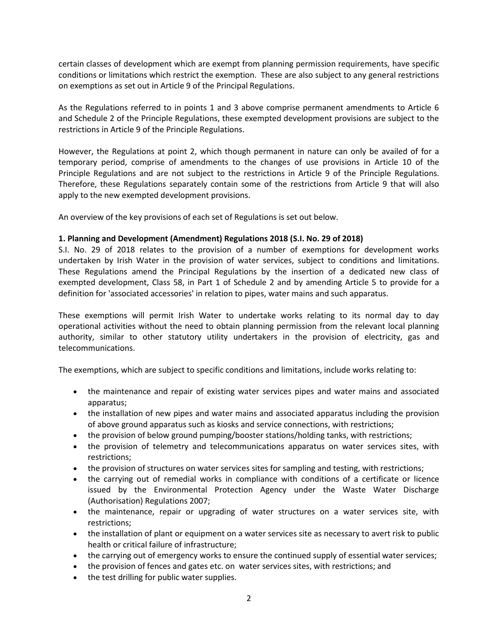certain classes of development which are exempt from planning permission requirements, have specific conditions or limitations which restrict the exemption. These are also subject to any general restrictions on exemptions as set out in Article 9 of the Principal Regulations.

As the Regulations referred to in points 1 and 3 above comprise permanent amendments to Article 6 and Schedule 2 of the Principle Regulations, these exempted development provisions are subject to the restrictions in Article 9 of the Principle Regulations.

However, the Regulations at point 2, which though permanent in nature can only be availed of for a temporary period, comprise of amendments to the changes of use provisions in Article 10 of the Principle Regulations and are not subject to the restrictions in Article 9 of the Principle Regulations. Therefore, these Regulations separately contain some of the restrictions from Article 9 that will also apply to the new exempted development provisions.

An overview of the key provisions of each set of Regulations is set out below.

## **1. Planning and Development (Amendment) Regulations 2018 (S.I. No. 29 of 2018)**

S.I. No. 29 of 2018 relates to the provision of a number of exemptions for development works undertaken by Irish Water in the provision of water services, subject to conditions and limitations. These Regulations amend the Principal Regulations by the insertion of a dedicated new class of exempted development, Class 58, in Part 1 of Schedule 2 and by amending Article 5 to provide for a definition for 'associated accessories' in relation to pipes, water mains and such apparatus.

These exemptions will permit Irish Water to undertake works relating to its normal day to day operational activities without the need to obtain planning permission from the relevant local planning authority, similar to other statutory utility undertakers in the provision of electricity, gas and telecommunications.

The exemptions, which are subject to specific conditions and limitations, include works relating to:

- the maintenance and repair of existing water services pipes and water mains and associated apparatus;
- the installation of new pipes and water mains and associated apparatus including the provision of above ground apparatus such as kiosks and service connections, with restrictions;
- the provision of below ground pumping/booster stations/holding tanks, with restrictions;
- the provision of telemetry and telecommunications apparatus on water services sites, with restrictions;
- the provision of structures on water services sites for sampling and testing, with restrictions;
- the carrying out of remedial works in compliance with conditions of a certificate or licence issued by the Environmental Protection Agency under the Waste Water Discharge (Authorisation) Regulations 2007;
- the maintenance, repair or upgrading of water structures on a water services site, with restrictions;
- the installation of plant or equipment on a water services site as necessary to avert risk to public health or critical failure of infrastructure;
- the carrying out of emergency works to ensure the continued supply of essential water services;
- the provision of fences and gates etc. on water services sites, with restrictions; and
- the test drilling for public water supplies.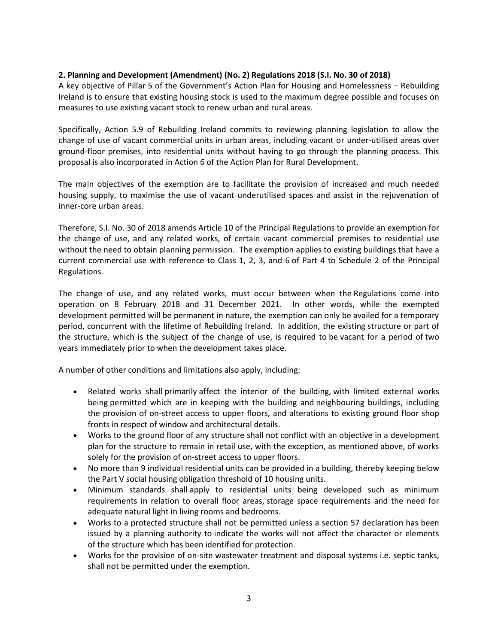## **2. Planning and Development (Amendment) (No. 2) Regulations 2018 (S.I. No. 30 of 2018)**

A key objective of Pillar 5 of the Government's Action Plan for Housing and Homelessness – Rebuilding Ireland is to ensure that existing housing stock is used to the maximum degree possible and focuses on measures to use existing vacant stock to renew urban and rural areas.

Specifically, Action 5.9 of Rebuilding Ireland commits to reviewing planning legislation to allow the change of use of vacant commercial units in urban areas, including vacant or under-utilised areas over ground-floor premises, into residential units without having to go through the planning process. This proposal is also incorporated in Action 6 of the Action Plan for Rural Development.

The main objectives of the exemption are to facilitate the provision of increased and much needed housing supply, to maximise the use of vacant underutilised spaces and assist in the rejuvenation of inner-core urban areas.

Therefore, S.I. No. 30 of 2018 amends Article 10 of the Principal Regulations to provide an exemption for the change of use, and any related works, of certain vacant commercial premises to residential use without the need to obtain planning permission. The exemption applies to existing buildings that have a current commercial use with reference to Class 1, 2, 3, and 6 of Part 4 to Schedule 2 of the Principal Regulations.

The change of use, and any related works, must occur between when the Regulations come into operation on 8 February 2018 and 31 December 2021. In other words, while the exempted development permitted will be permanent in nature, the exemption can only be availed for a temporary period, concurrent with the lifetime of Rebuilding Ireland. In addition, the existing structure or part of the structure, which is the subject of the change of use, is required to be vacant for a period of two years immediately prior to when the development takes place.

A number of other conditions and limitations also apply, including:

- Related works shall primarily affect the interior of the building, with limited external works being permitted which are in keeping with the building and neighbouring buildings, including the provision of on-street access to upper floors, and alterations to existing ground floor shop fronts in respect of window and architectural details.
- Works to the ground floor of any structure shall not conflict with an objective in a development plan for the structure to remain in retail use, with the exception, as mentioned above, of works solely for the provision of on-street access to upper floors.
- No more than 9 individual residential units can be provided in a building, thereby keeping below the Part V social housing obligation threshold of 10 housing units.
- Minimum standards shall apply to residential units being developed such as minimum requirements in relation to overall floor areas, storage space requirements and the need for adequate natural light in living rooms and bedrooms.
- Works to a protected structure shall not be permitted unless a section 57 declaration has been issued by a planning authority to indicate the works will not affect the character or elements of the structure which has been identified for protection.
- Works for the provision of on-site wastewater treatment and disposal systems i.e. septic tanks, shall not be permitted under the exemption.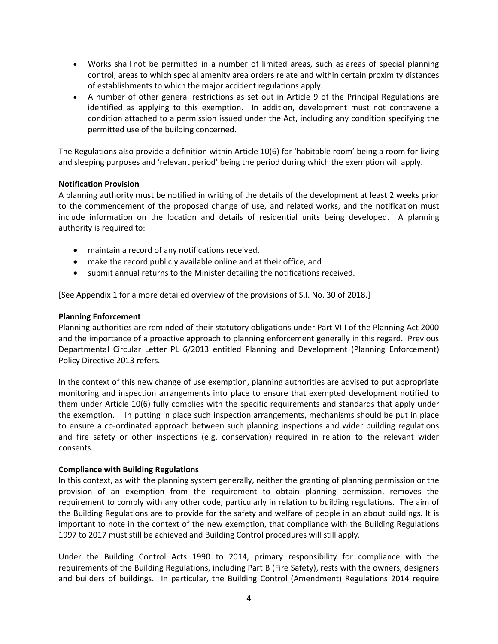- Works shall not be permitted in a number of limited areas, such as areas of special planning control, areas to which special amenity area orders relate and within certain proximity distances of establishments to which the major accident regulations apply.
- A number of other general restrictions as set out in Article 9 of the Principal Regulations are identified as applying to this exemption. In addition, development must not contravene a condition attached to a permission issued under the Act, including any condition specifying the permitted use of the building concerned.

The Regulations also provide a definition within Article 10(6) for 'habitable room' being a room for living and sleeping purposes and 'relevant period' being the period during which the exemption will apply.

## **Notification Provision**

A planning authority must be notified in writing of the details of the development at least 2 weeks prior to the commencement of the proposed change of use, and related works, and the notification must include information on the location and details of residential units being developed. A planning authority is required to:

- maintain a record of any notifications received,
- make the record publicly available online and at their office, and
- submit annual returns to the Minister detailing the notifications received.

[See Appendix 1 for a more detailed overview of the provisions of S.I. No. 30 of 2018.]

## **Planning Enforcement**

Planning authorities are reminded of their statutory obligations under Part VIII of the Planning Act 2000 and the importance of a proactive approach to planning enforcement generally in this regard. Previous Departmental Circular Letter PL 6/2013 entitled Planning and Development (Planning Enforcement) Policy Directive 2013 refers.

In the context of this new change of use exemption, planning authorities are advised to put appropriate monitoring and inspection arrangements into place to ensure that exempted development notified to them under Article 10(6) fully complies with the specific requirements and standards that apply under the exemption. In putting in place such inspection arrangements, mechanisms should be put in place to ensure a co-ordinated approach between such planning inspections and wider building regulations and fire safety or other inspections (e.g. conservation) required in relation to the relevant wider consents.

## **Compliance with Building Regulations**

In this context, as with the planning system generally, neither the granting of planning permission or the provision of an exemption from the requirement to obtain planning permission, removes the requirement to comply with any other code, particularly in relation to building regulations. The aim of the Building Regulations are to provide for the safety and welfare of people in an about buildings. It is important to note in the context of the new exemption, that compliance with the Building Regulations 1997 to 2017 must still be achieved and Building Control procedures will still apply.

Under the Building Control Acts 1990 to 2014, primary responsibility for compliance with the requirements of the Building Regulations, including Part B (Fire Safety), rests with the owners, designers and builders of buildings. In particular, the Building Control (Amendment) Regulations 2014 require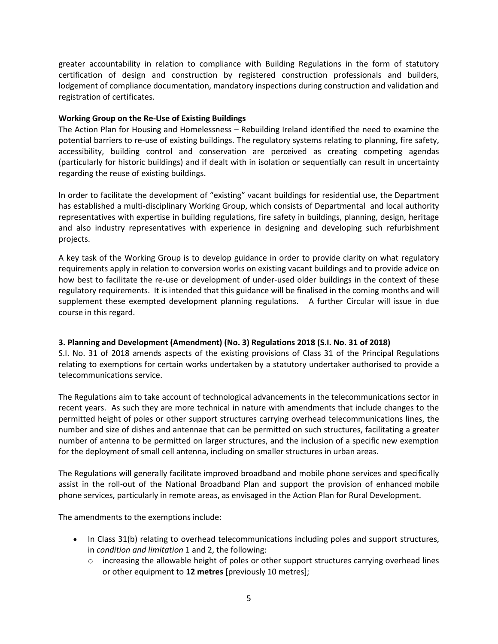greater accountability in relation to compliance with Building Regulations in the form of statutory certification of design and construction by registered construction professionals and builders, lodgement of compliance documentation, mandatory inspections during construction and validation and registration of certificates.

### **Working Group on the Re-Use of Existing Buildings**

The Action Plan for Housing and Homelessness – Rebuilding Ireland identified the need to examine the potential barriers to re-use of existing buildings. The regulatory systems relating to planning, fire safety, accessibility, building control and conservation are perceived as creating competing agendas (particularly for historic buildings) and if dealt with in isolation or sequentially can result in uncertainty regarding the reuse of existing buildings.

In order to facilitate the development of "existing" vacant buildings for residential use, the Department has established a multi-disciplinary Working Group, which consists of Departmental and local authority representatives with expertise in building regulations, fire safety in buildings, planning, design, heritage and also industry representatives with experience in designing and developing such refurbishment projects.

A key task of the Working Group is to develop guidance in order to provide clarity on what regulatory requirements apply in relation to conversion works on existing vacant buildings and to provide advice on how best to facilitate the re-use or development of under-used older buildings in the context of these regulatory requirements. It is intended that this guidance will be finalised in the coming months and will supplement these exempted development planning regulations. A further Circular will issue in due course in this regard.

## **3. Planning and Development (Amendment) (No. 3) Regulations 2018 (S.I. No. 31 of 2018)**

S.I. No. 31 of 2018 amends aspects of the existing provisions of Class 31 of the Principal Regulations relating to exemptions for certain works undertaken by a statutory undertaker authorised to provide a telecommunications service.

The Regulations aim to take account of technological advancements in the telecommunications sector in recent years. As such they are more technical in nature with amendments that include changes to the permitted height of poles or other support structures carrying overhead telecommunications lines, the number and size of dishes and antennae that can be permitted on such structures, facilitating a greater number of antenna to be permitted on larger structures, and the inclusion of a specific new exemption for the deployment of small cell antenna, including on smaller structures in urban areas.

The Regulations will generally facilitate improved broadband and mobile phone services and specifically assist in the roll-out of the National Broadband Plan and support the provision of enhanced mobile phone services, particularly in remote areas, as envisaged in the Action Plan for Rural Development.

The amendments to the exemptions include:

- In Class 31(b) relating to overhead telecommunications including poles and support structures, in *condition and limitation* 1 and 2, the following:
	- $\circ$  increasing the allowable height of poles or other support structures carrying overhead lines or other equipment to **12 metres** [previously 10 metres];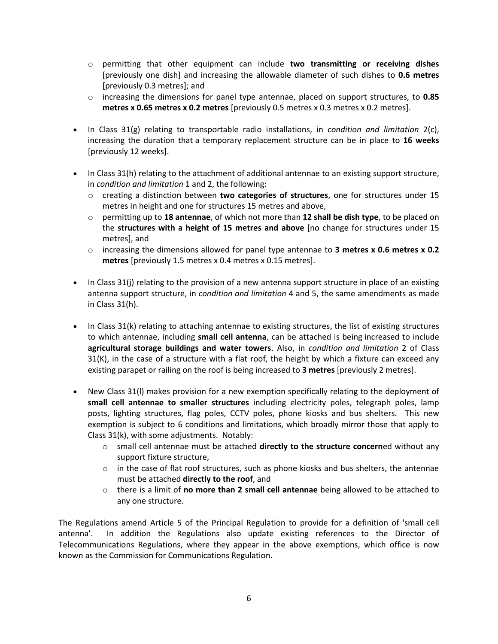- o permitting that other equipment can include **two transmitting or receiving dishes** [previously one dish] and increasing the allowable diameter of such dishes to **0.6 metres** [previously 0.3 metres]; and
- o increasing the dimensions for panel type antennae, placed on support structures, to **0.85 metres x 0.65 metres x 0.2 metres** [previously 0.5 metres x 0.3 metres x 0.2 metres].
- In Class 31(g) relating to transportable radio installations, in *condition and limitation* 2(c), increasing the duration that a temporary replacement structure can be in place to **16 weeks** [previously 12 weeks].
- In Class 31(h) relating to the attachment of additional antennae to an existing support structure, in *condition and limitation* 1 and 2, the following:
	- o creating a distinction between **two categories of structures**, one for structures under 15 metres in height and one for structures 15 metres and above,
	- o permitting up to **18 antennae**, of which not more than **12 shall be dish type**, to be placed on the **structures with a height of 15 metres and above** [no change for structures under 15 metres], and
	- o increasing the dimensions allowed for panel type antennae to **3 metres x 0.6 metres x 0.2 metres** [previously 1.5 metres x 0.4 metres x 0.15 metres].
- $\bullet$  In Class 31(j) relating to the provision of a new antenna support structure in place of an existing antenna support structure, in *condition and limitation* 4 and 5, the same amendments as made in Class 31(h).
- In Class 31(k) relating to attaching antennae to existing structures, the list of existing structures to which antennae, including **small cell antenna**, can be attached is being increased to include **agricultural storage buildings and water towers**. Also, in *condition and limitation* 2 of Class  $31(K)$ , in the case of a structure with a flat roof, the height by which a fixture can exceed any existing parapet or railing on the roof is being increased to **3 metres** [previously 2 metres].
- New Class 31(l) makes provision for a new exemption specifically relating to the deployment of **small cell antennae to smaller structures** including electricity poles, telegraph poles, lamp posts, lighting structures, flag poles, CCTV poles, phone kiosks and bus shelters. This new exemption is subject to 6 conditions and limitations, which broadly mirror those that apply to Class 31(k), with some adjustments. Notably:
	- o small cell antennae must be attached **directly to the structure concern**ed without any support fixture structure,
	- $\circ$  in the case of flat roof structures, such as phone kiosks and bus shelters, the antennae must be attached **directly to the roof**, and
	- o there is a limit of **no more than 2 small cell antennae** being allowed to be attached to any one structure.

The Regulations amend Article 5 of the Principal Regulation to provide for a definition of 'small cell antenna'. In addition the Regulations also update existing references to the Director of Telecommunications Regulations, where they appear in the above exemptions, which office is now known as the Commission for Communications Regulation.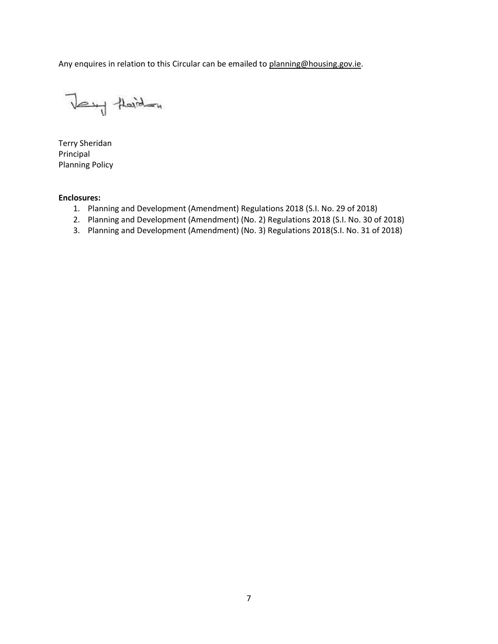Any enquires in relation to this Circular can be emailed to [planning@housing.gov.ie.](mailto:planning@housing.gov.ie)

Very Heiden

Terry Sheridan Principal Planning Policy

### **Enclosures:**

- 1. Planning and Development (Amendment) Regulations 2018 (S.I. No. 29 of 2018)
- 2. Planning and Development (Amendment) (No. 2) Regulations 2018 (S.I. No. 30 of 2018)
- 3. Planning and Development (Amendment) (No. 3) Regulations 2018(S.I. No. 31 of 2018)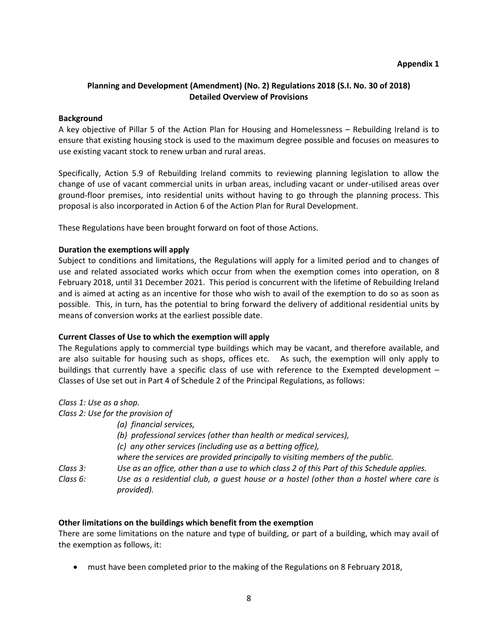## **Planning and Development (Amendment) (No. 2) Regulations 2018 (S.I. No. 30 of 2018) Detailed Overview of Provisions**

#### **Background**

A key objective of Pillar 5 of the Action Plan for Housing and Homelessness – Rebuilding Ireland is to ensure that existing housing stock is used to the maximum degree possible and focuses on measures to use existing vacant stock to renew urban and rural areas.

Specifically, Action 5.9 of Rebuilding Ireland commits to reviewing planning legislation to allow the change of use of vacant commercial units in urban areas, including vacant or under-utilised areas over ground-floor premises, into residential units without having to go through the planning process. This proposal is also incorporated in Action 6 of the Action Plan for Rural Development.

These Regulations have been brought forward on foot of those Actions.

#### **Duration the exemptions will apply**

Subject to conditions and limitations, the Regulations will apply for a limited period and to changes of use and related associated works which occur from when the exemption comes into operation, on 8 February 2018, until 31 December 2021. This period is concurrent with the lifetime of Rebuilding Ireland and is aimed at acting as an incentive for those who wish to avail of the exemption to do so as soon as possible. This, in turn, has the potential to bring forward the delivery of additional residential units by means of conversion works at the earliest possible date.

## **Current Classes of Use to which the exemption will apply**

The Regulations apply to commercial type buildings which may be vacant, and therefore available, and are also suitable for housing such as shops, offices etc. As such, the exemption will only apply to buildings that currently have a specific class of use with reference to the Exempted development – Classes of Use set out in Part 4 of Schedule 2 of the Principal Regulations, as follows:

| Class 1: Use as a shop.                                                                               |
|-------------------------------------------------------------------------------------------------------|
| Class 2: Use for the provision of                                                                     |
| (a) financial services,                                                                               |
| (b) professional services (other than health or medical services),                                    |
| (c) any other services (including use as a betting office),                                           |
| where the services are provided principally to visiting members of the public.                        |
| Use as an office, other than a use to which class 2 of this Part of this Schedule applies.            |
| Use as a residential club, a quest house or a hostel (other than a hostel where care is<br>provided). |
|                                                                                                       |

#### **Other limitations on the buildings which benefit from the exemption**

There are some limitations on the nature and type of building, or part of a building, which may avail of the exemption as follows, it:

must have been completed prior to the making of the Regulations on 8 February 2018,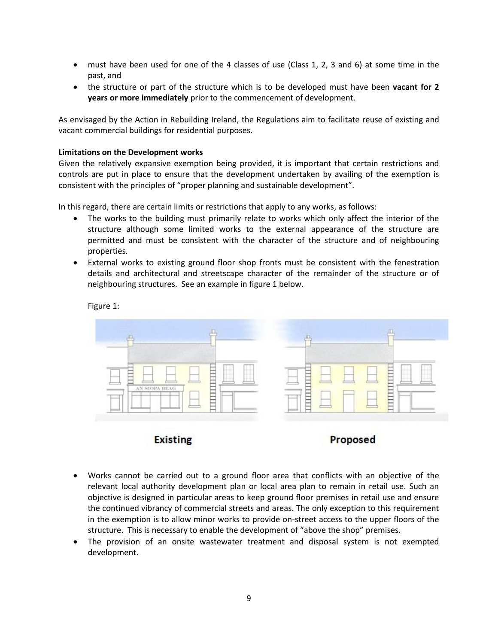- must have been used for one of the 4 classes of use (Class 1, 2, 3 and 6) at some time in the past, and
- the structure or part of the structure which is to be developed must have been **vacant for 2 years or more immediately** prior to the commencement of development.

As envisaged by the Action in Rebuilding Ireland, the Regulations aim to facilitate reuse of existing and vacant commercial buildings for residential purposes.

#### **Limitations on the Development works**

Given the relatively expansive exemption being provided, it is important that certain restrictions and controls are put in place to ensure that the development undertaken by availing of the exemption is consistent with the principles of "proper planning and sustainable development".

In this regard, there are certain limits or restrictions that apply to any works, as follows:

- The works to the building must primarily relate to works which only affect the interior of the structure although some limited works to the external appearance of the structure are permitted and must be consistent with the character of the structure and of neighbouring properties.
- External works to existing ground floor shop fronts must be consistent with the fenestration details and architectural and streetscape character of the remainder of the structure or of neighbouring structures. See an example in figure 1 below.

Figure 1:



**Existing** 



- Works cannot be carried out to a ground floor area that conflicts with an objective of the relevant local authority development plan or local area plan to remain in retail use. Such an objective is designed in particular areas to keep ground floor premises in retail use and ensure the continued vibrancy of commercial streets and areas. The only exception to this requirement in the exemption is to allow minor works to provide on-street access to the upper floors of the structure. This is necessary to enable the development of "above the shop" premises.
- The provision of an onsite wastewater treatment and disposal system is not exempted development.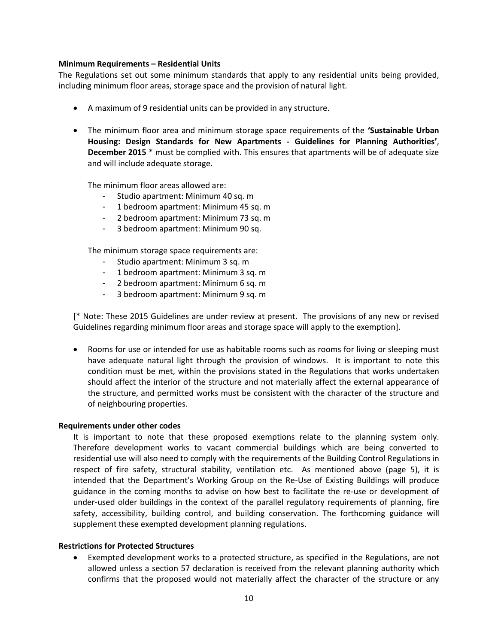#### **Minimum Requirements – Residential Units**

The Regulations set out some minimum standards that apply to any residential units being provided, including minimum floor areas, storage space and the provision of natural light.

- A maximum of 9 residential units can be provided in any structure.
- The minimum floor area and minimum storage space requirements of the **'Sustainable Urban Housing: Design Standards for New Apartments - Guidelines for Planning Authorities'**, **December 2015** \* must be complied with. This ensures that apartments will be of adequate size and will include adequate storage.

The minimum floor areas allowed are:

- Studio apartment: Minimum 40 sq. m
- 1 bedroom apartment: Minimum 45 sq. m
- 2 bedroom apartment: Minimum 73 sq. m
- 3 bedroom apartment: Minimum 90 sq.

The minimum storage space requirements are:

- Studio apartment: Minimum 3 sq. m
- 1 bedroom apartment: Minimum 3 sq. m
- 2 bedroom apartment: Minimum 6 sq. m
- 3 bedroom apartment: Minimum 9 sq. m

[\* Note: These 2015 Guidelines are under review at present. The provisions of any new or revised Guidelines regarding minimum floor areas and storage space will apply to the exemption].

 Rooms for use or intended for use as habitable rooms such as rooms for living or sleeping must have adequate natural light through the provision of windows. It is important to note this condition must be met, within the provisions stated in the Regulations that works undertaken should affect the interior of the structure and not materially affect the external appearance of the structure, and permitted works must be consistent with the character of the structure and of neighbouring properties.

#### **Requirements under other codes**

It is important to note that these proposed exemptions relate to the planning system only. Therefore development works to vacant commercial buildings which are being converted to residential use will also need to comply with the requirements of the Building Control Regulations in respect of fire safety, structural stability, ventilation etc. As mentioned above (page 5), it is intended that the Department's Working Group on the Re-Use of Existing Buildings will produce guidance in the coming months to advise on how best to facilitate the re-use or development of under-used older buildings in the context of the parallel regulatory requirements of planning, fire safety, accessibility, building control, and building conservation. The forthcoming guidance will supplement these exempted development planning regulations.

#### **Restrictions for Protected Structures**

 Exempted development works to a protected structure, as specified in the Regulations, are not allowed unless a section 57 declaration is received from the relevant planning authority which confirms that the proposed would not materially affect the character of the structure or any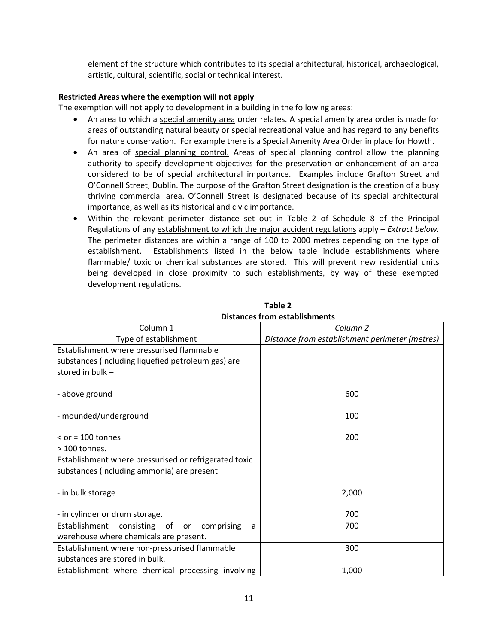element of the structure which contributes to its special architectural, historical, archaeological, artistic, cultural, scientific, social or technical interest.

## **Restricted Areas where the exemption will not apply**

The exemption will not apply to development in a building in the following areas:

- An area to which a special amenity area order relates. A special amenity area order is made for areas of outstanding natural beauty or special recreational value and has regard to any benefits for nature conservation. For example there is a Special Amenity Area Order in place for Howth.
- An area of special planning control. Areas of special planning control allow the planning authority to specify development objectives for the preservation or enhancement of an area considered to be of special architectural importance. Examples include Grafton Street and O'Connell Street, Dublin. The purpose of the Grafton Street designation is the creation of a busy thriving commercial area. O'Connell Street is designated because of its special architectural importance, as well as its historical and civic importance.
- Within the relevant perimeter distance set out in Table 2 of Schedule 8 of the Principal Regulations of any establishment to which the major accident regulations apply – *Extract below.* The perimeter distances are within a range of 100 to 2000 metres depending on the type of establishment. Establishments listed in the below table include establishments where flammable/ toxic or chemical substances are stored. This will prevent new residential units being developed in close proximity to such establishments, by way of these exempted development regulations.

| Column 1                                              | Column <sub>2</sub>                            |
|-------------------------------------------------------|------------------------------------------------|
| Type of establishment                                 | Distance from establishment perimeter (metres) |
| Establishment where pressurised flammable             |                                                |
| substances (including liquefied petroleum gas) are    |                                                |
| stored in bulk -                                      |                                                |
| - above ground                                        | 600                                            |
| - mounded/underground                                 | 100                                            |
| $\le$ or = 100 tonnes                                 | 200                                            |
| $>100$ tonnes.                                        |                                                |
| Establishment where pressurised or refrigerated toxic |                                                |
| substances (including ammonia) are present -          |                                                |
| - in bulk storage                                     | 2,000                                          |
| - in cylinder or drum storage.                        | 700                                            |
| Establishment<br>comprising<br>consisting of or<br>a  | 700                                            |
| warehouse where chemicals are present.                |                                                |
| Establishment where non-pressurised flammable         | 300                                            |
| substances are stored in bulk.                        |                                                |
| Establishment where chemical processing involving     | 1,000                                          |

## **Table 2 Distances from establishments**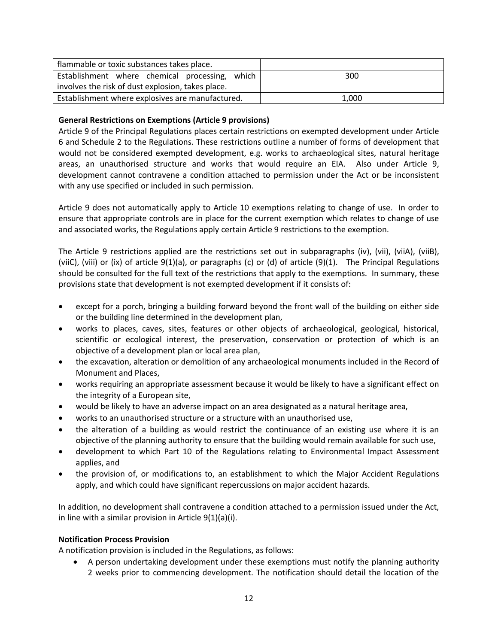| flammable or toxic substances takes place.        |       |
|---------------------------------------------------|-------|
| Establishment where chemical processing, which    | 300   |
| involves the risk of dust explosion, takes place. |       |
| Establishment where explosives are manufactured.  | 1,000 |

# **General Restrictions on Exemptions (Article 9 provisions)**

Article 9 of the Principal Regulations places certain restrictions on exempted development under Article 6 and Schedule 2 to the Regulations. These restrictions outline a number of forms of development that would not be considered exempted development, e.g. works to archaeological sites, natural heritage areas, an unauthorised structure and works that would require an EIA. Also under Article 9, development cannot contravene a condition attached to permission under the Act or be inconsistent with any use specified or included in such permission.

Article 9 does not automatically apply to Article 10 exemptions relating to change of use. In order to ensure that appropriate controls are in place for the current exemption which relates to change of use and associated works, the Regulations apply certain Article 9 restrictions to the exemption.

The Article 9 restrictions applied are the restrictions set out in subparagraphs (iv), (vii), (viiA), (viiB), (viiC), (viii) or (ix) of article 9(1)(a), or paragraphs (c) or (d) of article (9)(1). The Principal Regulations should be consulted for the full text of the restrictions that apply to the exemptions. In summary, these provisions state that development is not exempted development if it consists of:

- except for a porch, bringing a building forward beyond the front wall of the building on either side or the building line determined in the development plan,
- works to places, caves, sites, features or other objects of archaeological, geological, historical, scientific or ecological interest, the preservation, conservation or protection of which is an objective of a development plan or local area plan,
- the excavation, alteration or demolition of any archaeological monuments included in the Record of Monument and Places,
- works requiring an appropriate assessment because it would be likely to have a significant effect on the integrity of a European site,
- would be likely to have an adverse impact on an area designated as a natural heritage area,
- works to an unauthorised structure or a structure with an unauthorised use,
- the alteration of a building as would restrict the continuance of an existing use where it is an objective of the planning authority to ensure that the building would remain available for such use,
- development to which Part 10 of the Regulations relating to Environmental Impact Assessment applies, and
- the provision of, or modifications to, an establishment to which the Major Accident Regulations apply, and which could have significant repercussions on major accident hazards.

In addition, no development shall contravene a condition attached to a permission issued under the Act, in line with a similar provision in Article 9(1)(a)(i).

## **Notification Process Provision**

A notification provision is included in the Regulations, as follows:

 A person undertaking development under these exemptions must notify the planning authority 2 weeks prior to commencing development. The notification should detail the location of the